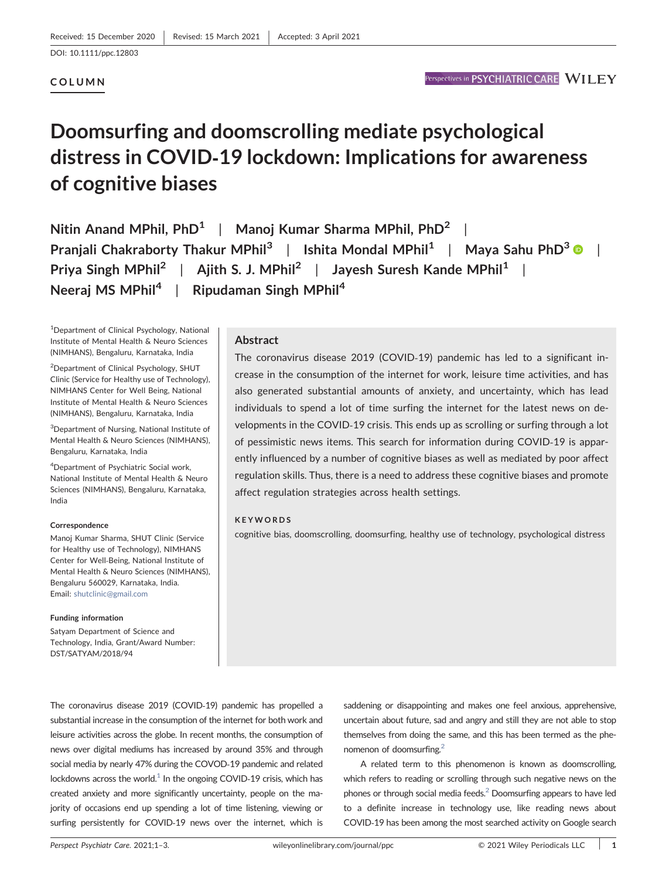# COLUMN

# Doomsurfing and doomscrolling mediate psychological distress in COVID‐19 lockdown: Implications for awareness of cognitive biases

Nitin Anand MPhil,  $PhD<sup>1</sup>$  | Manoj Kumar Sharma MPhil,  $PhD<sup>2</sup>$ Pranjali Chakraborty Thakur MPhil<sup>[3](https://orcid.org/0000-0003-3645-0815)</sup> | Ishita Mondal MPhil<sup>1</sup> | Maya Sahu PhD<sup>3</sup> | | Priya Singh MPhil<sup>2</sup> | Ajith S. J. MPhil<sup>2</sup> | Jayesh Suresh Kande MPhil<sup>1</sup> | Neeraj MS MPhil<sup>4</sup> | Ripudaman Singh MPhil<sup>4</sup>

<sup>1</sup>Department of Clinical Psychology, National Institute of Mental Health & Neuro Sciences (NIMHANS), Bengaluru, Karnataka, India

2 Department of Clinical Psychology, SHUT Clinic (Service for Healthy use of Technology), NIMHANS Center for Well Being, National Institute of Mental Health & Neuro Sciences (NIMHANS), Bengaluru, Karnataka, India

<sup>3</sup>Department of Nursing, National Institute of Mental Health & Neuro Sciences (NIMHANS), Bengaluru, Karnataka, India

4 Department of Psychiatric Social work, National Institute of Mental Health & Neuro Sciences (NIMHANS), Bengaluru, Karnataka, India

#### Correspondence

Manoj Kumar Sharma, SHUT Clinic (Service for Healthy use of Technology), NIMHANS Center for Well‐Being, National Institute of Mental Health & Neuro Sciences (NIMHANS), Bengaluru 560029, Karnataka, India. Email: [shutclinic@gmail.com](mailto:shutclinic@gmail.com)

#### Funding information

Satyam Department of Science and Technology, India, Grant/Award Number: DST/SATYAM/2018/94

## Abstract

The coronavirus disease 2019 (COVID‐19) pandemic has led to a significant increase in the consumption of the internet for work, leisure time activities, and has also generated substantial amounts of anxiety, and uncertainty, which has lead individuals to spend a lot of time surfing the internet for the latest news on developments in the COVID‐19 crisis. This ends up as scrolling or surfing through a lot of pessimistic news items. This search for information during COVID‐19 is apparently influenced by a number of cognitive biases as well as mediated by poor affect regulation skills. Thus, there is a need to address these cognitive biases and promote affect regulation strategies across health settings.

#### **KEYWORDS**

cognitive bias, doomscrolling, doomsurfing, healthy use of technology, psychological distress

The coronavirus disease 2019 (COVID‐19) pandemic has propelled a substantial increase in the consumption of the internet for both work and leisure activities across the globe. In recent months, the consumption of news over digital mediums has increased by around 35% and through social media by nearly 47% during the COVOD‐19 pandemic and related lockdowns across the world.<sup>1</sup> In the ongoing COVID-19 crisis, which has created anxiety and more significantly uncertainty, people on the majority of occasions end up spending a lot of time listening, viewing or surfing persistently for COVID‐19 news over the internet, which is

saddening or disappointing and makes one feel anxious, apprehensive, uncertain about future, sad and angry and still they are not able to stop themselves from doing the same, and this has been termed as the phenomenon of doomsurfing.<sup>2</sup>

A related term to this phenomenon is known as doomscrolling, which refers to reading or scrolling through such negative news on the phones or through social media feeds[.2](#page-2-1) Doomsurfing appears to have led to a definite increase in technology use, like reading news about COVID‐19 has been among the most searched activity on Google search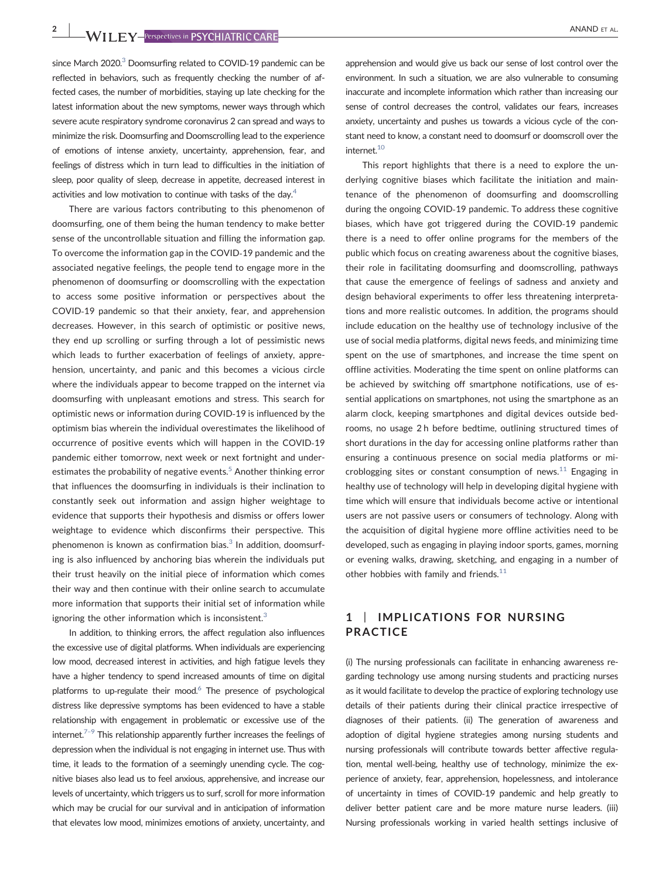since March 2020.<sup>3</sup> Doomsurfing related to COVID-19 pandemic can be reflected in behaviors, such as frequently checking the number of affected cases, the number of morbidities, staying up late checking for the latest information about the new symptoms, newer ways through which severe acute respiratory syndrome coronavirus 2 can spread and ways to minimize the risk. Doomsurfing and Doomscrolling lead to the experience of emotions of intense anxiety, uncertainty, apprehension, fear, and feelings of distress which in turn lead to difficulties in the initiation of sleep, poor quality of sleep, decrease in appetite, decreased interest in activities and low motivation to continue with tasks of the day. $4$ 

There are various factors contributing to this phenomenon of doomsurfing, one of them being the human tendency to make better sense of the uncontrollable situation and filling the information gap. To overcome the information gap in the COVID‐19 pandemic and the associated negative feelings, the people tend to engage more in the phenomenon of doomsurfing or doomscrolling with the expectation to access some positive information or perspectives about the COVID‐19 pandemic so that their anxiety, fear, and apprehension decreases. However, in this search of optimistic or positive news, they end up scrolling or surfing through a lot of pessimistic news which leads to further exacerbation of feelings of anxiety, apprehension, uncertainty, and panic and this becomes a vicious circle where the individuals appear to become trapped on the internet via doomsurfing with unpleasant emotions and stress. This search for optimistic news or information during COVID‐19 is influenced by the optimism bias wherein the individual overestimates the likelihood of occurrence of positive events which will happen in the COVID‐19 pandemic either tomorrow, next week or next fortnight and underestimates the probability of negative events.<sup>5</sup> Another thinking error that influences the doomsurfing in individuals is their inclination to constantly seek out information and assign higher weightage to evidence that supports their hypothesis and dismiss or offers lower weightage to evidence which disconfirms their perspective. This phenomenon is known as confirmation bias. $3$  In addition, doomsurfing is also influenced by anchoring bias wherein the individuals put their trust heavily on the initial piece of information which comes their way and then continue with their online search to accumulate more information that supports their initial set of information while ignoring the other information which is inconsistent. $3$ 

In addition, to thinking errors, the affect regulation also influences the excessive use of digital platforms. When individuals are experiencing low mood, decreased interest in activities, and high fatigue levels they have a higher tendency to spend increased amounts of time on digital platforms to up-regulate their mood. $6$  The presence of psychological distress like depressive symptoms has been evidenced to have a stable relationship with engagement in problematic or excessive use of the internet.<sup> $7-9$  $7-9$ </sup> This relationship apparently further increases the feelings of depression when the individual is not engaging in internet use. Thus with time, it leads to the formation of a seemingly unending cycle. The cognitive biases also lead us to feel anxious, apprehensive, and increase our levels of uncertainty, which triggers us to surf, scroll for more information which may be crucial for our survival and in anticipation of information that elevates low mood, minimizes emotions of anxiety, uncertainty, and

apprehension and would give us back our sense of lost control over the environment. In such a situation, we are also vulnerable to consuming inaccurate and incomplete information which rather than increasing our sense of control decreases the control, validates our fears, increases anxiety, uncertainty and pushes us towards a vicious cycle of the constant need to know, a constant need to doomsurf or doomscroll over the internet.<sup>10</sup>

This report highlights that there is a need to explore the underlying cognitive biases which facilitate the initiation and maintenance of the phenomenon of doomsurfing and doomscrolling during the ongoing COVID‐19 pandemic. To address these cognitive biases, which have got triggered during the COVID‐19 pandemic there is a need to offer online programs for the members of the public which focus on creating awareness about the cognitive biases, their role in facilitating doomsurfing and doomscrolling, pathways that cause the emergence of feelings of sadness and anxiety and design behavioral experiments to offer less threatening interpretations and more realistic outcomes. In addition, the programs should include education on the healthy use of technology inclusive of the use of social media platforms, digital news feeds, and minimizing time spent on the use of smartphones, and increase the time spent on offline activities. Moderating the time spent on online platforms can be achieved by switching off smartphone notifications, use of essential applications on smartphones, not using the smartphone as an alarm clock, keeping smartphones and digital devices outside bedrooms, no usage 2 h before bedtime, outlining structured times of short durations in the day for accessing online platforms rather than ensuring a continuous presence on social media platforms or mi-croblogging sites or constant consumption of news.<sup>[11](#page-2-8)</sup> Engaging in healthy use of technology will help in developing digital hygiene with time which will ensure that individuals become active or intentional users are not passive users or consumers of technology. Along with the acquisition of digital hygiene more offline activities need to be developed, such as engaging in playing indoor sports, games, morning or evening walks, drawing, sketching, and engaging in a number of other hobbies with family and friends. $11$ 

# 1 | IMPLICATIONS FOR NURSING PRACTICE

(i) The nursing professionals can facilitate in enhancing awareness regarding technology use among nursing students and practicing nurses as it would facilitate to develop the practice of exploring technology use details of their patients during their clinical practice irrespective of diagnoses of their patients. (ii) The generation of awareness and adoption of digital hygiene strategies among nursing students and nursing professionals will contribute towards better affective regulation, mental well-being, healthy use of technology, minimize the experience of anxiety, fear, apprehension, hopelessness, and intolerance of uncertainty in times of COVID‐19 pandemic and help greatly to deliver better patient care and be more mature nurse leaders. (iii) Nursing professionals working in varied health settings inclusive of